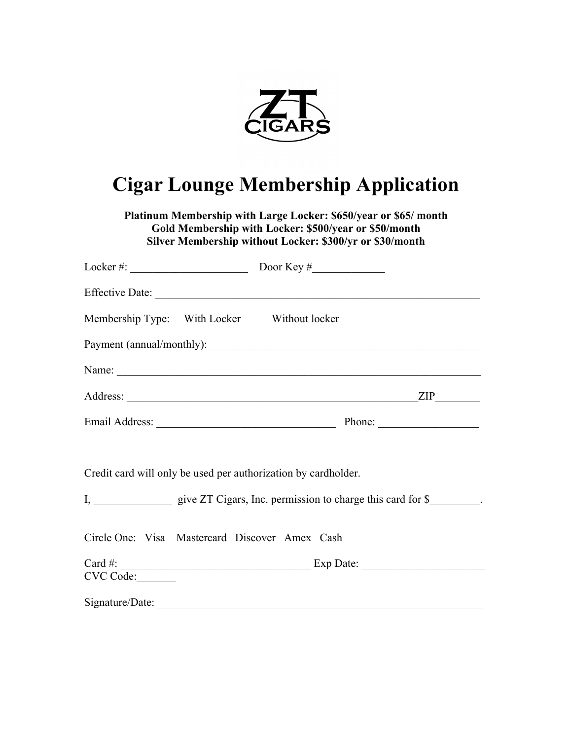

## **Cigar Lounge Membership Application**

**Platinum Membership with Large Locker: \$650/year or \$65/ month Gold Membership with Locker: \$500/year or \$50/month Silver Membership without Locker: \$300/yr or \$30/month**

|                 | Membership Type: With Locker Without locker                                                                                                 |
|-----------------|---------------------------------------------------------------------------------------------------------------------------------------------|
|                 |                                                                                                                                             |
|                 |                                                                                                                                             |
|                 |                                                                                                                                             |
|                 |                                                                                                                                             |
|                 | Credit card will only be used per authorization by cardholder.                                                                              |
|                 |                                                                                                                                             |
|                 | Circle One: Visa Mastercard Discover Amex Cash                                                                                              |
|                 | Card #: $\_\_\_\_\_\_\_\_\_\_\_\_\_\_\_\_\_\_\_\_\_\_\_\_\_\_\_\_\_\_$ Exp Date: $\_\_\_\_\_\_\_\_\_\_\_\_\_\_\_\_\_\_\_\_\_\_\_\_\_\_\_\_$ |
| CVC Code:       |                                                                                                                                             |
| Signature/Date: |                                                                                                                                             |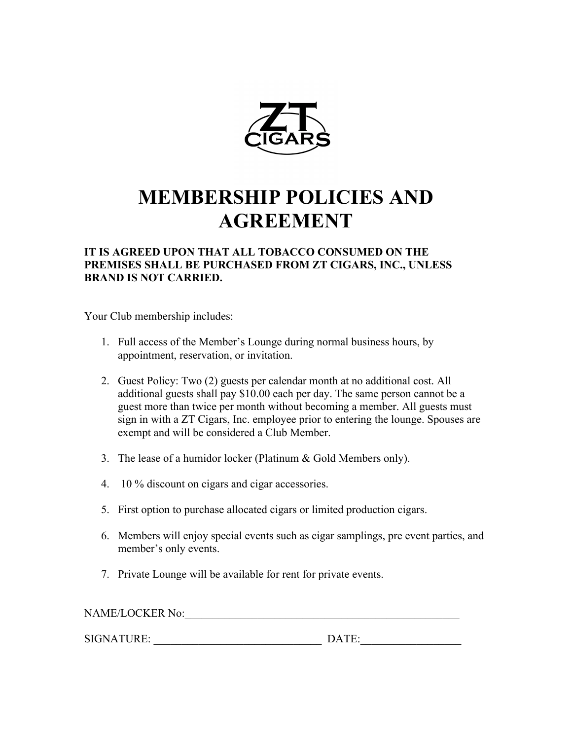

# **MEMBERSHIP POLICIES AND AGREEMENT**

#### **IT IS AGREED UPON THAT ALL TOBACCO CONSUMED ON THE PREMISES SHALL BE PURCHASED FROM ZT CIGARS, INC., UNLESS BRAND IS NOT CARRIED.**

Your Club membership includes:

- 1. Full access of the Member's Lounge during normal business hours, by appointment, reservation, or invitation.
- 2. Guest Policy: Two (2) guests per calendar month at no additional cost. All additional guests shall pay \$10.00 each per day. The same person cannot be a guest more than twice per month without becoming a member. All guests must sign in with a ZT Cigars, Inc. employee prior to entering the lounge. Spouses are exempt and will be considered a Club Member.
- 3. The lease of a humidor locker (Platinum & Gold Members only).
- 4. 10 % discount on cigars and cigar accessories.
- 5. First option to purchase allocated cigars or limited production cigars.
- 6. Members will enjoy special events such as cigar samplings, pre event parties, and member's only events.
- 7. Private Lounge will be available for rent for private events.

NAME/LOCKER No:\_\_\_\_\_\_\_\_\_\_\_\_\_\_\_\_\_\_\_\_\_\_\_\_\_\_\_\_\_\_\_\_\_\_\_\_\_\_\_\_\_\_\_\_\_\_\_\_\_ SIGNATURE: \_\_\_\_\_\_\_\_\_\_\_\_\_\_\_\_\_\_\_\_\_\_\_\_\_\_\_\_\_\_ DATE:\_\_\_\_\_\_\_\_\_\_\_\_\_\_\_\_\_\_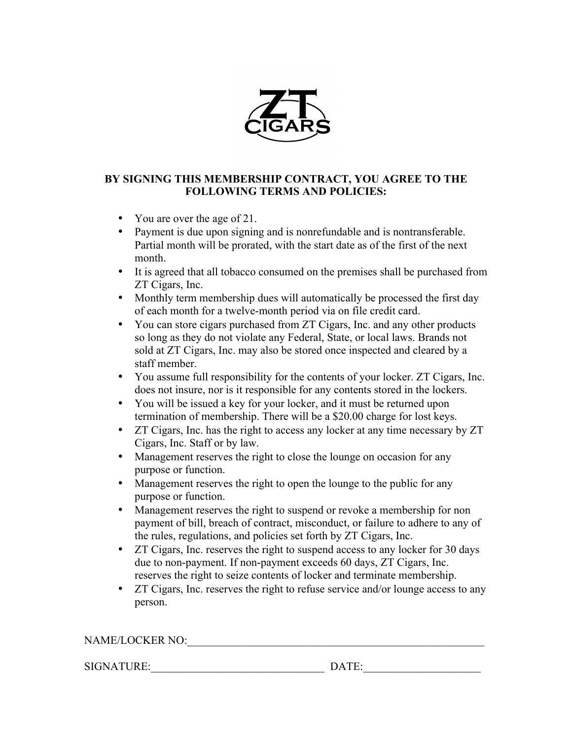

#### **BY SIGNING THIS MEMBERSHIP CONTRACT, YOU AGREE TO THE FOLLOWING TERMS AND POLICIES:**

- You are over the age of 21.
- Payment is due upon signing and is nonrefundable and is nontransferable. Partial month will be prorated, with the start date as of the first of the next month.
- It is agreed that all tobacco consumed on the premises shall be purchased from ZT Cigars, Inc.
- Monthly term membership dues will automatically be processed the first day of each month for a twelve-month period via on file credit card.
- You can store cigars purchased from ZT Cigars, Inc. and any other products so long as they do not violate any Federal, State, or local laws. Brands not sold at ZT Cigars, Inc. may also be stored once inspected and cleared by a staff member.
- You assume full responsibility for the contents of your locker. ZT Cigars, Inc. does not insure, nor is it responsible for any contents stored in the lockers.
- You will be issued a key for your locker, and it must be returned upon termination of membership. There will be a \$20.00 charge for lost keys.
- ZT Cigars, Inc. has the right to access any locker at any time necessary by ZT Cigars, Inc. Staff or by law.
- Management reserves the right to close the lounge on occasion for any purpose or function.
- Management reserves the right to open the lounge to the public for any purpose or function.
- Management reserves the right to suspend or revoke a membership for non payment of bill, breach of contract, misconduct, or failure to adhere to any of the rules, regulations, and policies set forth by ZT Cigars, Inc.
- ZT Cigars, Inc. reserves the right to suspend access to any locker for 30 days due to non-payment. If non-payment exceeds 60 days, ZT Cigars, Inc. reserves the right to seize contents of locker and terminate membership.
- ZT Cigars, Inc. reserves the right to refuse service and/or lounge access to any person.

### NAME/LOCKER NO:\_\_\_\_\_\_\_\_\_\_\_\_\_\_\_\_\_\_\_\_\_\_\_\_\_\_\_\_\_\_\_\_\_\_\_\_\_\_\_\_\_\_\_\_\_\_\_\_\_\_\_\_\_

SIGNATURE:\_\_\_\_\_\_\_\_\_\_\_\_\_\_\_\_\_\_\_\_\_\_\_\_\_\_\_\_\_\_\_ DATE:\_\_\_\_\_\_\_\_\_\_\_\_\_\_\_\_\_\_\_\_\_